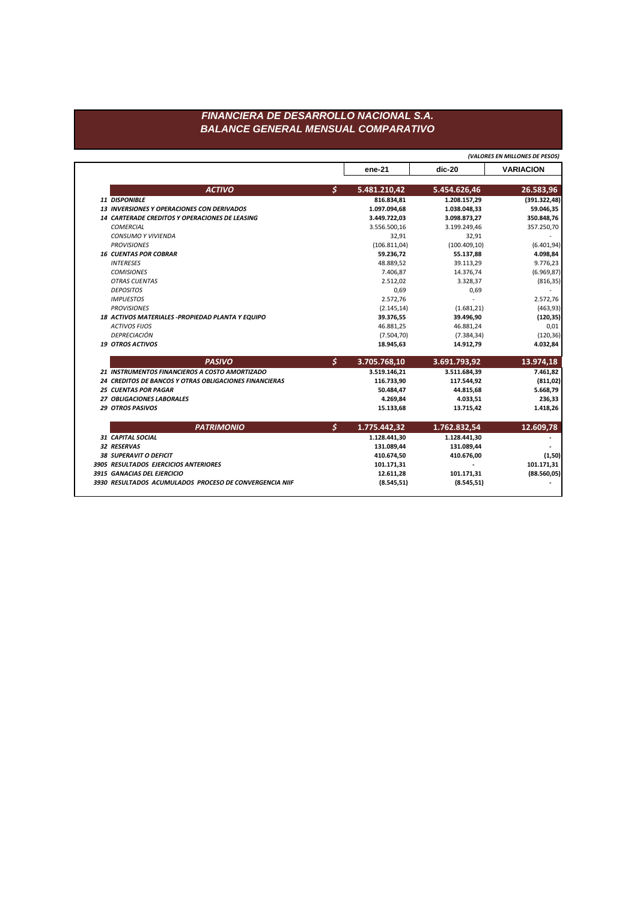## FINANCIERA DE DESARROLLO NACIONAL S.A. **BALANCE GENERAL MENSUAL COMPARATIVO**

(VALORES EN MILLONES DE PESOS)

|                                                         | ene-21             | $dic-20$      | <b>VARIACION</b> |
|---------------------------------------------------------|--------------------|---------------|------------------|
| <b>ACTIVO</b>                                           | \$<br>5.481.210,42 | 5.454.626,46  | 26.583,96        |
| 11 DISPONIBLE                                           | 816.834,81         | 1.208.157,29  | (391.322, 48)    |
| <b>13 INVERSIONES Y OPERACIONES CON DERIVADOS</b>       | 1.097.094,68       | 1.038.048,33  | 59.046,35        |
| <b>14 CARTERADE CREDITOS Y OPERACIONES DE LEASING</b>   | 3.449.722,03       | 3.098.873,27  | 350.848,76       |
| <b>COMERCIAL</b>                                        | 3.556.500,16       | 3.199.249,46  | 357.250,70       |
| <b>CONSUMO Y VIVIENDA</b>                               | 32,91              | 32,91         |                  |
| <b>PROVISIONES</b>                                      | (106.811,04)       | (100.409, 10) | (6.401, 94)      |
| <b>16 CUENTAS POR COBRAR</b>                            | 59.236,72          | 55.137,88     | 4.098,84         |
| <b>INTERESES</b>                                        | 48.889,52          | 39.113,29     | 9.776,23         |
| <b>COMISIONES</b>                                       | 7.406,87           | 14.376,74     | (6.969, 87)      |
| <b>OTRAS CUENTAS</b>                                    | 2.512,02           | 3.328,37      | (816, 35)        |
| <b>DEPOSITOS</b>                                        | 0,69               | 0,69          |                  |
| <b>IMPUESTOS</b>                                        | 2.572,76           |               | 2.572,76         |
| <b>PROVISIONES</b>                                      | (2.145, 14)        | (1.681, 21)   | (463, 93)        |
| 18 ACTIVOS MATERIALES - PROPIEDAD PLANTA Y EQUIPO       | 39.376,55          | 39.496,90     | (120, 35)        |
| <b>ACTIVOS FIJOS</b>                                    | 46.881,25          | 46.881,24     | 0,01             |
| DEPRECIACIÓN                                            | (7.504, 70)        | (7.384, 34)   | (120, 36)        |
| <b>19 OTROS ACTIVOS</b>                                 | 18.945,63          | 14.912,79     | 4.032,84         |
| <b>PASIVO</b>                                           | \$<br>3.705.768,10 | 3.691.793,92  | 13.974,18        |
| 21 INSTRUMENTOS FINANCIEROS A COSTO AMORTIZADO          | 3.519.146,21       | 3.511.684,39  | 7.461,82         |
| 24 CREDITOS DE BANCOS Y OTRAS OBLIGACIONES FINANCIERAS  | 116.733,90         | 117.544,92    | (811,02)         |
| <b>25 CUENTAS POR PAGAR</b>                             | 50.484,47          | 44.815,68     | 5.668,79         |
| 27 OBLIGACIONES LABORALES                               | 4.269,84           | 4.033,51      | 236,33           |
| <b>29 OTROS PASIVOS</b>                                 | 15.133,68          | 13.715,42     | 1.418,26         |
| <b>PATRIMONIO</b>                                       | \$<br>1.775.442,32 | 1.762.832,54  | 12.609,78        |
| <b>31 CAPITAL SOCIAL</b>                                | 1.128.441,30       | 1.128.441,30  |                  |
| 32 RESERVAS                                             | 131.089,44         | 131.089,44    |                  |
| <b>38 SUPERAVIT O DEFICIT</b>                           | 410.674,50         | 410.676,00    | (1,50)           |
| 3905 RESULTADOS EJERCICIOS ANTERIORES                   | 101.171,31         |               | 101.171,31       |
| 3915 GANACIAS DEL EJERCICIO                             | 12.611,28          | 101.171,31    | (88.560,05)      |
| 3930 RESULTADOS ACUMULADOS PROCESO DE CONVERGENCIA NIIF | (8.545, 51)        | (8.545, 51)   |                  |